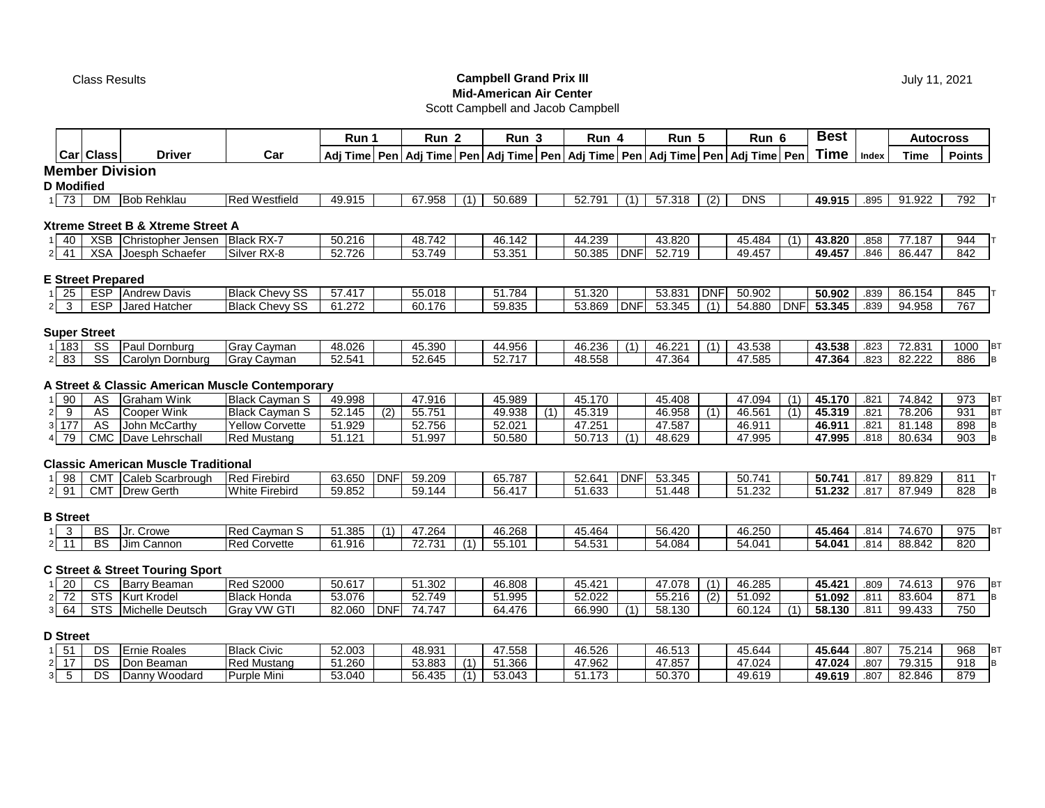## Class Results **Campbell Grand Prix III Mid-American Air Center**

July 11, 2021

# Scott Campbell and Jacob Campbell

|                                   |                          |                                                 |                       | Run 1  |            | Run <sub>2</sub> |     | Run <sub>3</sub> |     | Run 4  |            | Run 5                                                                                               |            | Run 6      |            | <b>Best</b> |       |             | <b>Autocross</b>          |
|-----------------------------------|--------------------------|-------------------------------------------------|-----------------------|--------|------------|------------------|-----|------------------|-----|--------|------------|-----------------------------------------------------------------------------------------------------|------------|------------|------------|-------------|-------|-------------|---------------------------|
|                                   | Carl Class               | <b>Driver</b>                                   | Car                   |        |            |                  |     |                  |     |        |            | Adj Time   Pen   Adj Time   Pen   Adj Time   Pen   Adj Time   Pen   Adj Time   Pen   Adj Time   Pen |            |            |            | <b>Time</b> | Index | <b>Time</b> | <b>Points</b>             |
|                                   |                          | <b>Member Division</b>                          |                       |        |            |                  |     |                  |     |        |            |                                                                                                     |            |            |            |             |       |             |                           |
| <b>D</b> Modified                 |                          |                                                 |                       |        |            |                  |     |                  |     |        |            |                                                                                                     |            |            |            |             |       |             |                           |
| 1 73                              | DM                       | <b>Bob Rehklau</b>                              | <b>Red Westfield</b>  | 49.915 |            | 67.958           | (1) | 50.689           |     | 52.791 | (1)        | 57.318                                                                                              | (2)        | <b>DNS</b> |            | 49.915      | .895  | 91.922      | 792 T                     |
|                                   |                          | Xtreme Street B & Xtreme Street A               |                       |        |            |                  |     |                  |     |        |            |                                                                                                     |            |            |            |             |       |             |                           |
| 40                                |                          | XSB Christopher Jensen                          | Black RX-7            | 50.216 |            | 48.742           |     | 46.142           |     | 44.239 |            | 43.820                                                                                              |            | 45.484     | (1)        | 43.820      | .858  | 77.187      | 944                       |
| 41<br>2 <sub>l</sub>              |                          | XSA Joesph Schaefer                             | Silver RX-8           | 52.726 |            | 53.749           |     | 53.351           |     | 50.385 | <b>DNF</b> | 52.719                                                                                              |            | 49.457     |            | 49.457      | .846  | 86.447      | 842                       |
|                                   | <b>E Street Prepared</b> |                                                 |                       |        |            |                  |     |                  |     |        |            |                                                                                                     |            |            |            |             |       |             |                           |
| $1 \quad 25$                      |                          | <b>ESP</b> Andrew Davis                         | <b>Black Chevy SS</b> | 57.417 |            | 55.018           |     | 51.784           |     | 51.320 |            | 53.831                                                                                              | <b>DNF</b> | 50.902     |            | 50.902      | .839  | 86.154      | 845                       |
| $2 \quad 3$                       |                          | ESP Jared Hatcher                               | <b>Black Chevy SS</b> | 61.272 |            | 60.176           |     | 59.835           |     | 53.869 | <b>DNF</b> | 53.345                                                                                              | (1)        | 54.880     | <b>DNF</b> | 53.345      | .839  | 94.958      | 767                       |
|                                   |                          |                                                 |                       |        |            |                  |     |                  |     |        |            |                                                                                                     |            |            |            |             |       |             |                           |
|                                   | <b>Super Street</b>      |                                                 |                       |        |            |                  |     |                  |     |        |            |                                                                                                     |            |            |            |             |       |             |                           |
| 1 183                             | SS                       | Paul Dornburg                                   | Gray Cayman           | 48.026 |            | 45.390           |     | 44.956           |     | 46.236 | (1)        | 46.221                                                                                              | (1)        | 43.538     |            | 43.538      | .823  | 72.831      | 1000<br>$ _{\mathsf{BT}}$ |
| 83<br>2 <sup>1</sup>              | SS                       | Carolyn Dornburg                                | Gray Cayman           | 52.541 |            | 52.645           |     | 52.717           |     | 48.558 |            | 47.364                                                                                              |            | 47.585     |            | 47.364      | .823  | 82.222      | 886<br><b>B</b>           |
|                                   |                          | A Street & Classic American Muscle Contemporary |                       |        |            |                  |     |                  |     |        |            |                                                                                                     |            |            |            |             |       |             |                           |
| 90                                | AS                       | <b>Graham Wink</b>                              | <b>Black Cayman S</b> | 49.998 |            | 47.916           |     | 45.989           |     | 45.170 |            | 45.408                                                                                              |            | 47.094     | (1)        | 45.170      | .821  | 74.842      | 973<br><b>BT</b>          |
| 9<br>$\overline{2}$               | AS                       | Cooper Wink                                     | <b>Black Cayman S</b> | 52.145 | (2)        | 55.751           |     | 49.938           | (1) | 45.319 |            | 46.958                                                                                              | (1)        | 46.561     | (1)        | 45.319      | .821  | 78.206      | 931<br><b>BT</b>          |
| $3 \overline{177}$                | <b>AS</b>                | John McCarthy                                   | Yellow Corvette       | 51.929 |            | 52.756           |     | 52.021           |     | 47.251 |            | 47.587                                                                                              |            | 46.911     |            | 46.911      | .821  | 81.148      | 898<br>B                  |
| $\overline{79}$<br>4 <sup>1</sup> |                          | <b>CMC</b> Dave Lehrschall                      | <b>Red Mustang</b>    | 51.121 |            | 51.997           |     | 50.580           |     | 50.713 | (1)        | 48.629                                                                                              |            | 47.995     |            | 47.995      | .818  | 80.634      | 903<br>$\vert$ B          |
|                                   |                          | <b>Classic American Muscle Traditional</b>      |                       |        |            |                  |     |                  |     |        |            |                                                                                                     |            |            |            |             |       |             |                           |
| 98                                |                          | CMT Caleb Scarbrough                            | <b>Red Firebird</b>   | 63.650 | <b>DNF</b> | 59.209           |     | 65.787           |     | 52.641 | <b>DNF</b> | 53.345                                                                                              |            | 50.741     |            | 50.741      | .817  | 89.829      | 811                       |
| 2 91                              |                          | <b>CMT Drew Gerth</b>                           | <b>White Firebird</b> | 59.852 |            | 59.144           |     | 56.417           |     | 51.633 |            | 51.448                                                                                              |            | 51.232     |            | 51.232      | .817  | 87.949      | 828<br> B                 |
| <b>B</b> Street                   |                          |                                                 |                       |        |            |                  |     |                  |     |        |            |                                                                                                     |            |            |            |             |       |             |                           |
| $1 \quad 3$                       | BS                       | <b>Jr.</b> Crowe                                | Red Cayman S          | 51.385 |            | 47.264           |     | 46.268           |     | 45.464 |            | 56.420                                                                                              |            | 46.250     |            | 45.464      | .814  | 74.670      | 975<br><b>BT</b>          |
| $2 \quad 11$                      | BS                       | Jim Cannon                                      | <b>Red Corvette</b>   | 61.916 |            | 72.731           | (1) | 55.101           |     | 54.531 |            | 54.084                                                                                              |            | 54.041     |            | 54.041      | .814  | 88.842      | 820                       |
|                                   |                          | <b>C Street &amp; Street Touring Sport</b>      |                       |        |            |                  |     |                  |     |        |            |                                                                                                     |            |            |            |             |       |             |                           |

### 1 20 | CS |Barry Beaman | Red S2000 | 50.617 | | 51.302 | | 46.808 | | 45.421 | | 47.078 | (1) | 46.285 | | **45.421** | .809 | 74.613 | 976 |BT 2 72 STS Kurt Krodel Black Honda 53.076 52.749 51.995 52.022 55.216 (2) 51.092 **51.092** .811 83.604 871 B 3 64 STS Michelle Deutsch Gray VW GTI 82.060 DNF 74.747 64.476 66.990 (1) 58.130 66.124 (1) 58.130 811 99.433 750

# **D Street**

| v | ns<br>ںر    | Roales<br>Ernie  | <b>Black Civic</b> | 52.003<br>UZ.UUJ | 48.931 |           | 47.558 | 46.526                   | 46.513 | 45.644 | 45.644 | $0^{\circ}$<br>، ئاڭ. | $\overline{\phantom{a}}$<br><u> та</u><br>J.Z | 968 |  |
|---|-------------|------------------|--------------------|------------------|--------|-----------|--------|--------------------------|--------|--------|--------|-----------------------|-----------------------------------------------|-----|--|
|   | nc<br>- ت ب | Beaman           | Red Mustanc        | 260<br>◡ ・・∠◡    | 53.883 | $\cdots$  | 51.366 | 17.962<br>4.             | 47.857 | 17.024 | 17.024 | .807                  | 79.315                                        | 918 |  |
|   | nc<br>. .   | Woodard<br>Jannv | Purple Mini        | 53.040           | 56.435 | $\lambda$ | 53.043 | $\rightarrow$<br>$\cdot$ | 50.370 | 49.619 | 49.619 | .807                  | 82.846                                        | 879 |  |